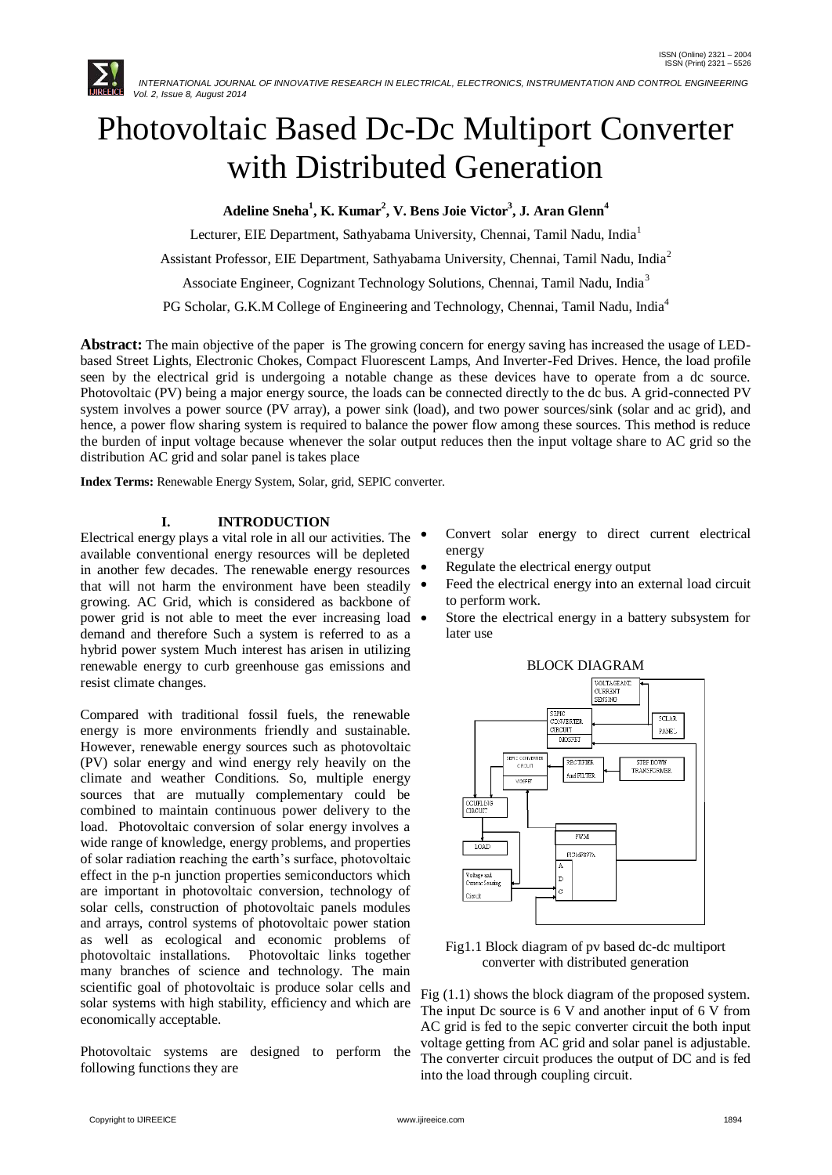

# Photovoltaic Based Dc-Dc Multiport Converter with Distributed Generation

**Adeline Sneha<sup>1</sup> , K. Kumar<sup>2</sup> , V. Bens Joie Victor<sup>3</sup> , J. Aran Glenn<sup>4</sup>**

Lecturer, EIE Department, Sathyabama University, Chennai, Tamil Nadu, India<sup>1</sup>

Assistant Professor, EIE Department, Sathyabama University, Chennai, Tamil Nadu, India<sup>2</sup>

Associate Engineer, Cognizant Technology Solutions, Chennai, Tamil Nadu, India<sup>3</sup>

PG Scholar, G.K.M College of Engineering and Technology, Chennai, Tamil Nadu, India<sup>4</sup>

**Abstract:** The main objective of the paper is The growing concern for energy saving has increased the usage of LEDbased Street Lights, Electronic Chokes, Compact Fluorescent Lamps, And Inverter-Fed Drives. Hence, the load profile seen by the electrical grid is undergoing a notable change as these devices have to operate from a dc source. Photovoltaic (PV) being a major energy source, the loads can be connected directly to the dc bus. A grid-connected PV system involves a power source (PV array), a power sink (load), and two power sources/sink (solar and ac grid), and hence, a power flow sharing system is required to balance the power flow among these sources. This method is reduce the burden of input voltage because whenever the solar output reduces then the input voltage share to AC grid so the distribution AC grid and solar panel is takes place

**Index Terms:** Renewable Energy System, Solar, grid, SEPIC converter.

# **I. INTRODUCTION**

Electrical energy plays a vital role in all our activities. The available conventional energy resources will be depleted in another few decades. The renewable energy resources  $\bullet$ that will not harm the environment have been steadily growing. AC Grid, which is considered as backbone of power grid is not able to meet the ever increasing load demand and therefore Such a system is referred to as a hybrid power system Much interest has arisen in utilizing renewable energy to curb greenhouse gas emissions and resist climate changes.

Compared with traditional fossil fuels, the renewable energy is more environments friendly and sustainable. However, renewable energy sources such as photovoltaic (PV) solar energy and wind energy rely heavily on the climate and weather Conditions. So, multiple energy sources that are mutually complementary could be combined to maintain continuous power delivery to the load. Photovoltaic conversion of solar energy involves a wide range of knowledge, energy problems, and properties of solar radiation reaching the earth's surface, photovoltaic effect in the p-n junction properties semiconductors which are important in photovoltaic conversion, technology of solar cells, construction of photovoltaic panels modules and arrays, control systems of photovoltaic power station as well as ecological and economic problems of photovoltaic installations. Photovoltaic links together many branches of science and technology. The main scientific goal of photovoltaic is produce solar cells and solar systems with high stability, efficiency and which are economically acceptable.

Photovoltaic systems are designed to perform the following functions they are

- Convert solar energy to direct current electrical energy
- Regulate the electrical energy output
- Feed the electrical energy into an external load circuit to perform work.
- Store the electrical energy in a battery subsystem for later use



Fig1.1 Block diagram of pv based dc-dc multiport converter with distributed generation

Fig (1.1) shows the block diagram of the proposed system. The input Dc source is 6 V and another input of 6 V from AC grid is fed to the sepic converter circuit the both input voltage getting from AC grid and solar panel is adjustable. The converter circuit produces the output of DC and is fed into the load through coupling circuit.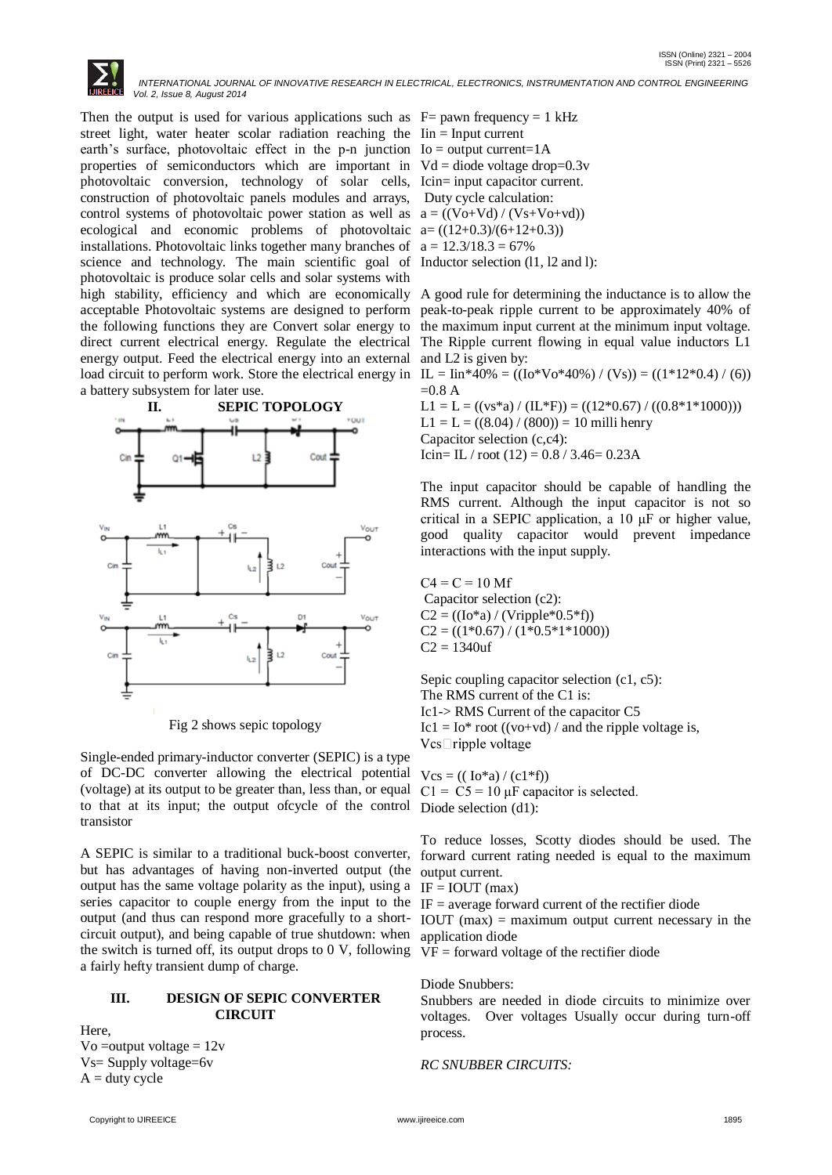Then the output is used for various applications such as  $F=$  pawn frequency = 1 kHz street light, water heater scolar radiation reaching the Iin = Input current earth's surface, photovoltaic effect in the  $p-n$  junction  $Io = output current = 1A$ properties of semiconductors which are important in  $Vd =$  diode voltage drop=0.3v photovoltaic conversion, technology of solar cells, Icin= input capacitor current. construction of photovoltaic panels modules and arrays, Duty cycle calculation: control systems of photovoltaic power station as well as  $a = ((Vo+Vd) / (Vs+Vo+vd))$ ecological and economic problems of photovoltaic  $a = ((12+0.3)/(6+12+0.3))$ installations. Photovoltaic links together many branches of  $a = 12.3/18.3 = 67\%$ science and technology. The main scientific goal of Inductor selection (11, 12 and 1): photovoltaic is produce solar cells and solar systems with direct current electrical energy. Regulate the electrical energy output. Feed the electrical energy into an external and L2 is given by: load circuit to perform work. Store the electrical energy in  $IL = lin*40% = ((Io*Vo*40%) / (Vs)) = ((1*12*0.4) / (6))$ a battery subsystem for later use.



Fig 2 shows sepic topology

Single-ended primary-inductor converter (SEPIC) is a type of DC-DC converter allowing the electrical potential (voltage) at its output to be greater than, less than, or equal to that at its input; the output ofcycle of the control transistor

A SEPIC is similar to a traditional buck-boost converter, but has advantages of having non-inverted output (the output has the same voltage polarity as the input), using a series capacitor to couple energy from the input to the output (and thus can respond more gracefully to a shortcircuit output), and being capable of true shutdown: when the switch is turned off, its output drops to 0 V, following a fairly hefty transient dump of charge.

### **III. DESIGN OF SEPIC CONVERTER CIRCUIT**

Here, Vo = output voltage =  $12v$ Vs= Supply voltage=6v  $A = duty cycle$ 

high stability, efficiency and which are economically A good rule for determining the inductance is to allow the acceptable Photovoltaic systems are designed to perform peak-to-peak ripple current to be approximately 40% of the following functions they are Convert solar energy to the maximum input current at the minimum input voltage. The Ripple current flowing in equal value inductors L1

> $=0.8 A$  $L1 = L = ((vs*<sub>a</sub>) / (IL*F)) = ((12*0.67) / ((0.8*1*1000)))$  $L1 = L = ((8.04) / (800)) = 10$  milli henry Capacitor selection (c,c4):

Icin= IL / root  $(12) = 0.8 / 3.46 = 0.23$ A

The input capacitor should be capable of handling the RMS current. Although the input capacitor is not so critical in a SEPIC application, a 10 μF or higher value, good quality capacitor would prevent impedance interactions with the input supply.

 $C4 = C = 10$  Mf Capacitor selection (c2):  $C2 = ((Io * a) / (Vripple * 0.5 * f))$  $C2 = ((1*0.67)/(1*0.5*1*1000))$  $C2 = 1340$ uf

Sepic coupling capacitor selection (c1, c5): The RMS current of the C1 is: Ic1-> RMS Current of the capacitor C5 Ic1 = Io\* root ((vo+vd) / and the ripple voltage is,  $Vcs$  ripple voltage

 $Vcs = ((Io * a) / (c1 * f))$  $C1 = C5 = 10 \mu F$  capacitor is selected. Diode selection (d1):

To reduce losses, Scotty diodes should be used. The forward current rating needed is equal to the maximum output current.

 $IF = IOUT (max)$ 

 $IF = average forward current of the rectifier diode$ 

IOUT  $(max)$  = maximum output current necessary in the application diode

VF = forward voltage of the rectifier diode

# Diode Snubbers:

Snubbers are needed in diode circuits to minimize over voltages. Over voltages Usually occur during turn-off process.

*RC SNUBBER CIRCUITS:*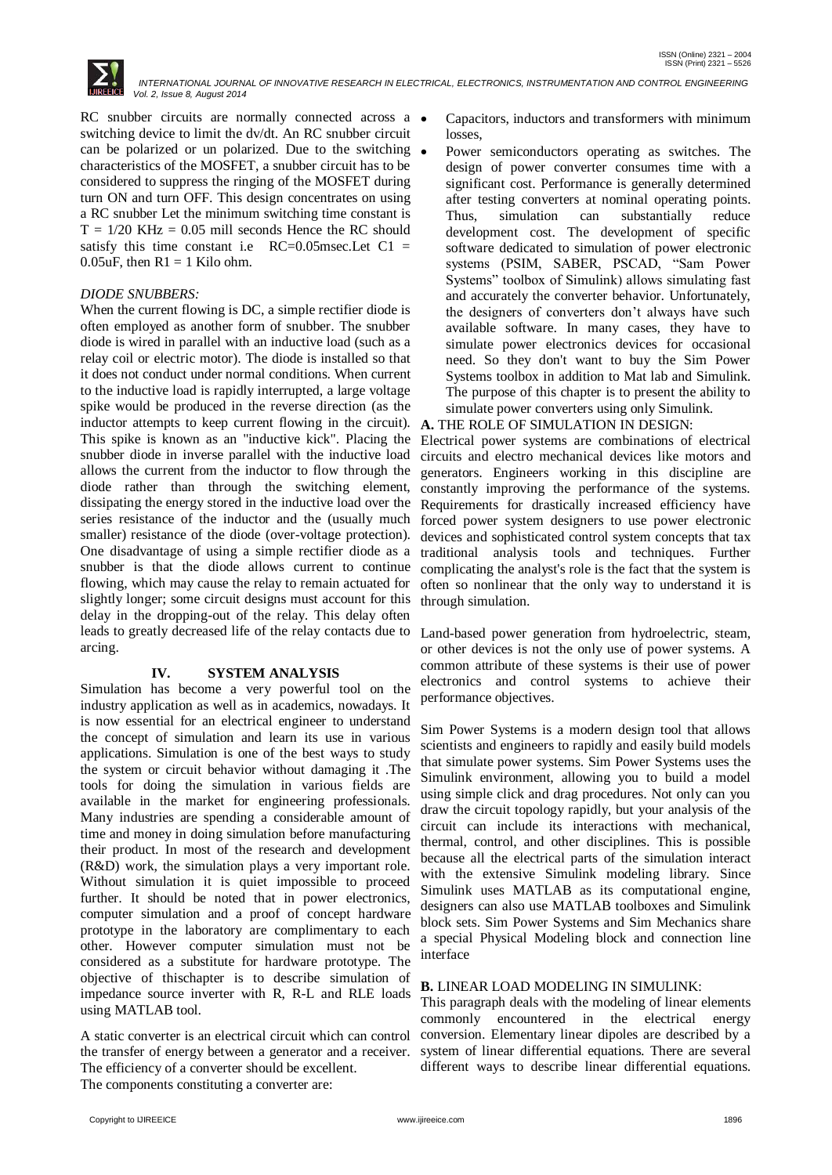

RC snubber circuits are normally connected across a  $\bullet$ switching device to limit the dv/dt. An RC snubber circuit can be polarized or un polarized. Due to the switching characteristics of the MOSFET, a snubber circuit has to be considered to suppress the ringing of the MOSFET during turn ON and turn OFF. This design concentrates on using a RC snubber Let the minimum switching time constant is  $T = 1/20$  KHz = 0.05 mill seconds Hence the RC should satisfy this time constant i.e  $RC=0.05$ msec. Let  $C1 =$ 0.05uF, then  $R1 = 1$  Kilo ohm.

## *DIODE SNUBBERS:*

When the current flowing is DC, a simple rectifier diode is often employed as another form of snubber. The snubber diode is wired in parallel with an inductive load (such as a relay coil or electric motor). The diode is installed so that it does not conduct under normal conditions. When current to the inductive load is rapidly interrupted, a large voltage spike would be produced in the reverse direction (as the inductor attempts to keep current flowing in the circuit). This spike is known as an "inductive kick". Placing the snubber diode in inverse parallel with the inductive load allows the current from the inductor to flow through the diode rather than through the switching element, dissipating the energy stored in the inductive load over the series resistance of the inductor and the (usually much smaller) resistance of the diode (over-voltage protection). One disadvantage of using a simple rectifier diode as a snubber is that the diode allows current to continue flowing, which may cause the relay to remain actuated for slightly longer; some circuit designs must account for this delay in the dropping-out of the relay. This delay often leads to greatly decreased life of the relay contacts due to Land-based power generation from hydroelectric, steam, arcing.

# **IV. SYSTEM ANALYSIS**

Simulation has become a very powerful tool on the industry application as well as in academics, nowadays. It is now essential for an electrical engineer to understand the concept of simulation and learn its use in various applications. Simulation is one of the best ways to study the system or circuit behavior without damaging it .The tools for doing the simulation in various fields are available in the market for engineering professionals. Many industries are spending a considerable amount of time and money in doing simulation before manufacturing their product. In most of the research and development (R&D) work, the simulation plays a very important role. Without simulation it is quiet impossible to proceed further. It should be noted that in power electronics, computer simulation and a proof of concept hardware prototype in the laboratory are complimentary to each other. However computer simulation must not be considered as a substitute for hardware prototype. The objective of thischapter is to describe simulation of impedance source inverter with R, R-L and RLE loads using MATLAB tool.

A static converter is an electrical circuit which can control the transfer of energy between a generator and a receiver. The efficiency of a converter should be excellent.

The components constituting a converter are:

- Capacitors, inductors and transformers with minimum losses,
- Power semiconductors operating as switches. The design of power converter consumes time with a significant cost. Performance is generally determined after testing converters at nominal operating points. Thus, simulation can substantially reduce development cost. The development of specific software dedicated to simulation of power electronic systems (PSIM, SABER, PSCAD, "Sam Power Systems" toolbox of Simulink) allows simulating fast and accurately the converter behavior. Unfortunately, the designers of converters don't always have such available software. In many cases, they have to simulate power electronics devices for occasional need. So they don't want to buy the Sim Power Systems toolbox in addition to Mat lab and Simulink. The purpose of this chapter is to present the ability to simulate power converters using only Simulink.

# **A.** THE ROLE OF SIMULATION IN DESIGN:

Electrical power systems are combinations of electrical circuits and electro mechanical devices like motors and generators. Engineers working in this discipline are constantly improving the performance of the systems. Requirements for drastically increased efficiency have forced power system designers to use power electronic devices and sophisticated control system concepts that tax traditional analysis tools and techniques. Further complicating the analyst's role is the fact that the system is often so nonlinear that the only way to understand it is through simulation.

or other devices is not the only use of power systems. A common attribute of these systems is their use of power electronics and control systems to achieve their performance objectives.

Sim Power Systems is a modern design tool that allows scientists and engineers to rapidly and easily build models that simulate power systems. Sim Power Systems uses the Simulink environment, allowing you to build a model using simple click and drag procedures. Not only can you draw the circuit topology rapidly, but your analysis of the circuit can include its interactions with mechanical, thermal, control, and other disciplines. This is possible because all the electrical parts of the simulation interact with the extensive Simulink modeling library. Since Simulink uses MATLAB as its computational engine, designers can also use MATLAB toolboxes and Simulink block sets. Sim Power Systems and Sim Mechanics share a special Physical Modeling block and connection line interface

#### **B.** LINEAR LOAD MODELING IN SIMULINK:

This paragraph deals with the modeling of linear elements commonly encountered in the electrical energy conversion. Elementary linear dipoles are described by a system of linear differential equations. There are several different ways to describe linear differential equations.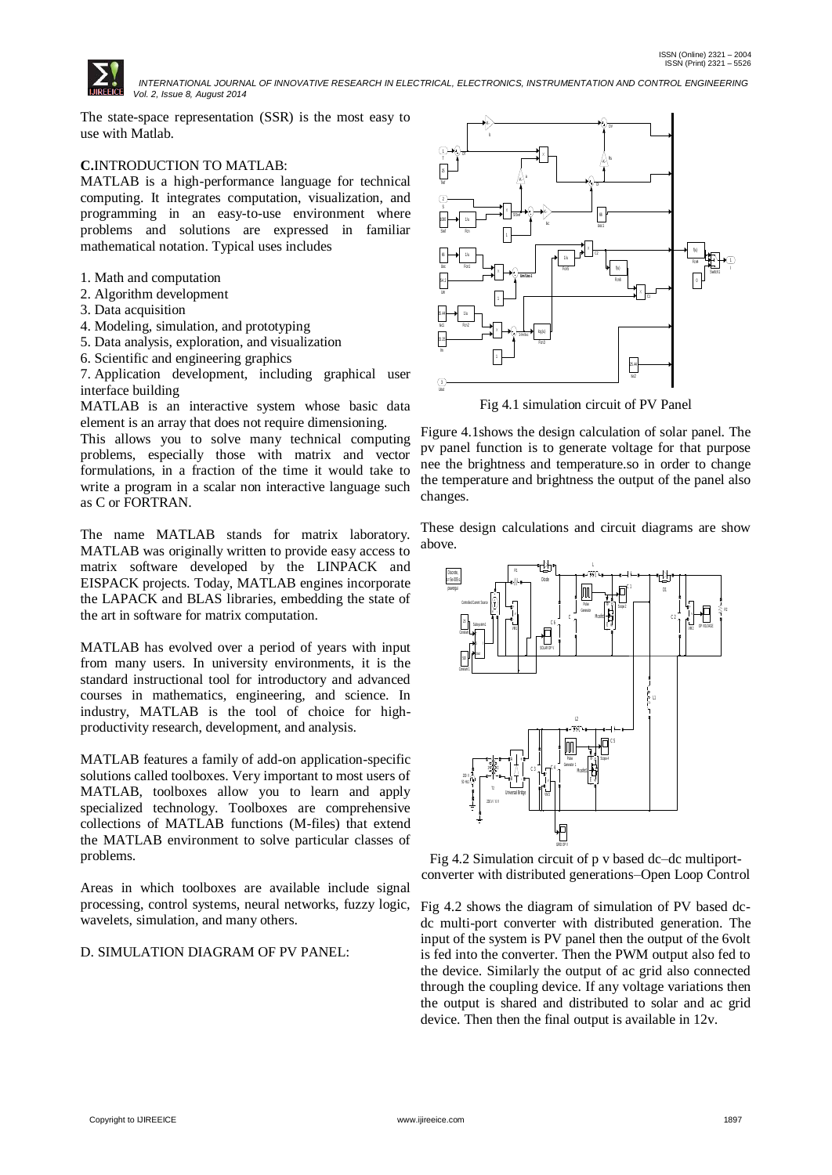

The state-space representation (SSR) is the most easy to use with Matlab.

# **C.**INTRODUCTION TO MATLAB:

MATLAB is a high-performance language for technical computing. It integrates computation, visualization, and programming in an easy-to-use environment where problems and solutions are expressed in familiar mathematical notation. Typical uses includes

- 1. Math and computation
- 2. Algorithm development
- 3. Data acquisition
- 4. Modeling, simulation, and prototyping
- 5. Data analysis, exploration, and visualization
- 6. Scientific and engineering graphics

7. Application development, including graphical user interface building

MATLAB is an interactive system whose basic data element is an array that does not require dimensioning.

This allows you to solve many technical computing problems, especially those with matrix and vector formulations, in a fraction of the time it would take to write a program in a scalar non interactive language such as C or FORTRAN.

The name MATLAB stands for matrix laboratory. MATLAB was originally written to provide easy access to matrix software developed by the LINPACK and EISPACK projects. Today, MATLAB engines incorporate the LAPACK and BLAS libraries, embedding the state of the art in software for matrix computation.

MATLAB has evolved over a period of years with input from many users. In university environments, it is the standard instructional tool for introductory and advanced courses in mathematics, engineering, and science. In industry, MATLAB is the tool of choice for highproductivity research, development, and analysis.

MATLAB features a family of add-on application-specific solutions called toolboxes. Very important to most users of MATLAB, toolboxes allow you to learn and apply specialized technology. Toolboxes are comprehensive collections of MATLAB functions (M-files) that extend the MATLAB environment to solve particular classes of problems.

Areas in which toolboxes are available include signal processing, control systems, neural networks, fuzzy logic, wavelets, simulation, and many others.

# D. SIMULATION DIAGRAM OF PV PANEL:



Fig 4.1 simulation circuit of PV Panel

Figure 4.1shows the design calculation of solar panel. The pv panel function is to generate voltage for that purpose nee the brightness and temperature.so in order to change the temperature and brightness the output of the panel also changes.

These design calculations and circuit diagrams are show above.



Fig 4.2 Simulation circuit of p v based dc–dc multiportconverter with distributed generations–Open Loop Control

Fig 4.2 shows the diagram of simulation of PV based dcdc multi-port converter with distributed generation. The input of the system is PV panel then the output of the 6volt is fed into the converter. Then the PWM output also fed to the device. Similarly the output of ac grid also connected through the coupling device. If any voltage variations then the output is shared and distributed to solar and ac grid device. Then then the final output is available in 12v.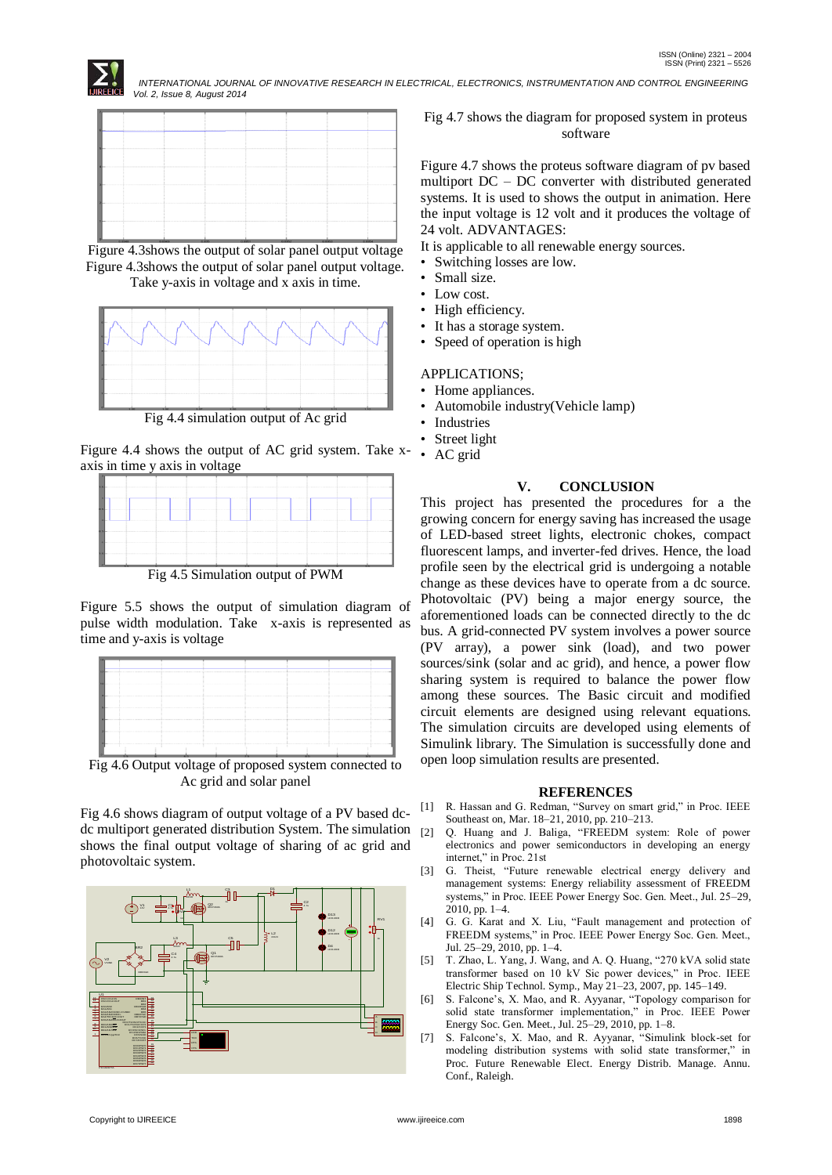



Figure 4.3shows the output of solar panel output voltage Figure 4.3shows the output of solar panel output voltage. Take y-axis in voltage and x axis in time.



Fig 4.4 simulation output of Ac grid

Figure 4.4 shows the output of AC grid system. Take xaxis in time y axis in voltage



Fig 4.5 Simulation output of PWM

Figure 5.5 shows the output of simulation diagram of pulse width modulation. Take x-axis is represented as time and y-axis is voltage

Fig 4.6 Output voltage of proposed system connected to Ac grid and solar panel

Fig 4.6 shows diagram of output voltage of a PV based dcdc multiport generated distribution System. The simulation shows the final output voltage of sharing of ac grid and photovoltaic system.



Fig 4.7 shows the diagram for proposed system in proteus software

Figure 4.7 shows the proteus software diagram of pv based multiport DC – DC converter with distributed generated systems. It is used to shows the output in animation. Here the input voltage is 12 volt and it produces the voltage of 24 volt. ADVANTAGES:

It is applicable to all renewable energy sources.

- Switching losses are low.
- Small size.
- Low cost.
- High efficiency.
- It has a storage system.
- Speed of operation is high

## APPLICATIONS;

- Home appliances.
- Automobile industry(Vehicle lamp)
- **Industries**
- Street light
- AC grid

# **V. CONCLUSION**

This project has presented the procedures for a the growing concern for energy saving has increased the usage of LED-based street lights, electronic chokes, compact fluorescent lamps, and inverter-fed drives. Hence, the load profile seen by the electrical grid is undergoing a notable change as these devices have to operate from a dc source. Photovoltaic (PV) being a major energy source, the aforementioned loads can be connected directly to the dc bus. A grid-connected PV system involves a power source (PV array), a power sink (load), and two power sources/sink (solar and ac grid), and hence, a power flow sharing system is required to balance the power flow among these sources. The Basic circuit and modified circuit elements are designed using relevant equations. The simulation circuits are developed using elements of Simulink library. The Simulation is successfully done and open loop simulation results are presented.

#### **REFERENCES**

- [1] R. Hassan and G. Redman, "Survey on smart grid," in Proc. IEEE Southeast on, Mar. 18–21, 2010, pp. 210–213.
- [2] Q. Huang and J. Baliga, "FREEDM system: Role of power electronics and power semiconductors in developing an energy internet," in Proc. 21st
- [3] G. Theist, "Future renewable electrical energy delivery and management systems: Energy reliability assessment of FREEDM systems," in Proc. IEEE Power Energy Soc. Gen. Meet., Jul. 25–29, 2010, pp. 1–4.
- [4] G. G. Karat and X. Liu, "Fault management and protection of FREEDM systems," in Proc. IEEE Power Energy Soc. Gen. Meet., Jul. 25–29, 2010, pp. 1–4.
- [5] T. Zhao, L. Yang, J. Wang, and A. Q. Huang, "270 kVA solid state transformer based on 10 kV Sic power devices," in Proc. IEEE Electric Ship Technol. Symp., May 21–23, 2007, pp. 145–149.
- [6] S. Falcone's, X. Mao, and R. Ayyanar, "Topology comparison for solid state transformer implementation," in Proc. IEEE Power Energy Soc. Gen. Meet., Jul. 25–29, 2010, pp. 1–8.
- [7] S. Falcone's, X. Mao, and R. Ayyanar, "Simulink block-set for modeling distribution systems with solid state transformer," in Proc. Future Renewable Elect. Energy Distrib. Manage. Annu. Conf., Raleigh.